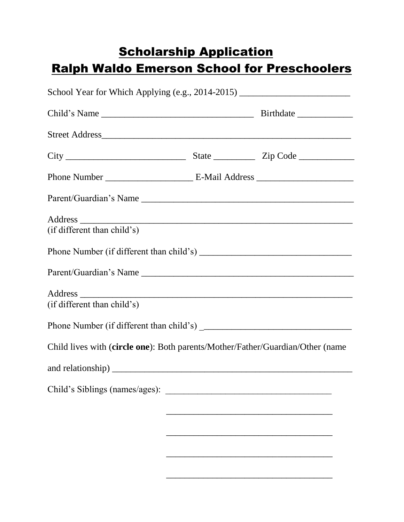## **Scholarship Application** Ralph Waldo Emerson School for Preschoolers

| Street Address                                                                 |  |
|--------------------------------------------------------------------------------|--|
|                                                                                |  |
|                                                                                |  |
|                                                                                |  |
|                                                                                |  |
| (if different than child's)                                                    |  |
|                                                                                |  |
|                                                                                |  |
|                                                                                |  |
| (if different than child's)                                                    |  |
|                                                                                |  |
| Child lives with (circle one): Both parents/Mother/Father/Guardian/Other (name |  |
|                                                                                |  |
|                                                                                |  |
|                                                                                |  |
|                                                                                |  |
|                                                                                |  |

\_\_\_\_\_\_\_\_\_\_\_\_\_\_\_\_\_\_\_\_\_\_\_\_\_\_\_\_\_\_\_\_\_\_\_\_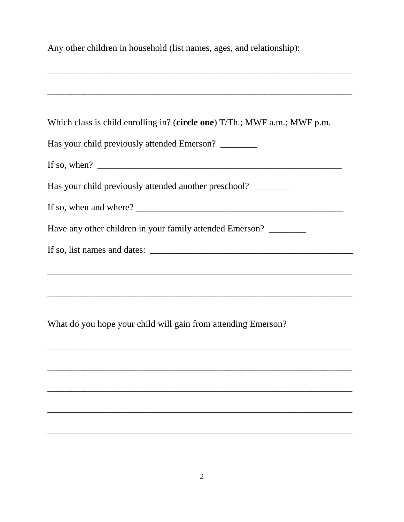| Any other children in household (list names, ages, and relationship):             |  |  |
|-----------------------------------------------------------------------------------|--|--|
|                                                                                   |  |  |
|                                                                                   |  |  |
|                                                                                   |  |  |
| Which class is child enrolling in? (circle one) T/Th.; MWF a.m.; MWF p.m.         |  |  |
| Has your child previously attended Emerson?                                       |  |  |
|                                                                                   |  |  |
| Has your child previously attended another preschool? ___________________________ |  |  |
|                                                                                   |  |  |
| Have any other children in your family attended Emerson? ________                 |  |  |
|                                                                                   |  |  |
|                                                                                   |  |  |
|                                                                                   |  |  |
|                                                                                   |  |  |
| What do you hope your child will gain from attending Emerson?                     |  |  |

 $\overline{\phantom{0}}$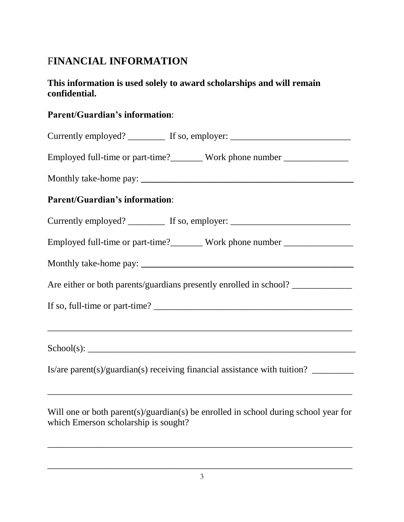## F**INANCIAL INFORMATION**

## **This information is used solely to award scholarships and will remain confidential.**

## **Parent/Guardian's information**:

| Currently employed? ___________ If so, employer: _______________________________  |
|-----------------------------------------------------------------------------------|
| Employed full-time or part-time?_________ Work phone number ____________________  |
|                                                                                   |
| <b>Parent/Guardian's information:</b>                                             |
| Currently employed? ___________ If so, employer: _______________________________  |
| Employed full-time or part-time?_________ Work phone number ____________________  |
|                                                                                   |
| Are either or both parents/guardians presently enrolled in school?                |
|                                                                                   |
|                                                                                   |
|                                                                                   |
| Is/are parent(s)/guardian(s) receiving financial assistance with tuition? _______ |

Will one or both parent(s)/guardian(s) be enrolled in school during school year for which Emerson scholarship is sought?

\_\_\_\_\_\_\_\_\_\_\_\_\_\_\_\_\_\_\_\_\_\_\_\_\_\_\_\_\_\_\_\_\_\_\_\_\_\_\_\_\_\_\_\_\_\_\_\_\_\_\_\_\_\_\_\_\_\_\_\_\_\_\_\_\_\_

\_\_\_\_\_\_\_\_\_\_\_\_\_\_\_\_\_\_\_\_\_\_\_\_\_\_\_\_\_\_\_\_\_\_\_\_\_\_\_\_\_\_\_\_\_\_\_\_\_\_\_\_\_\_\_\_\_\_\_\_\_\_\_\_\_\_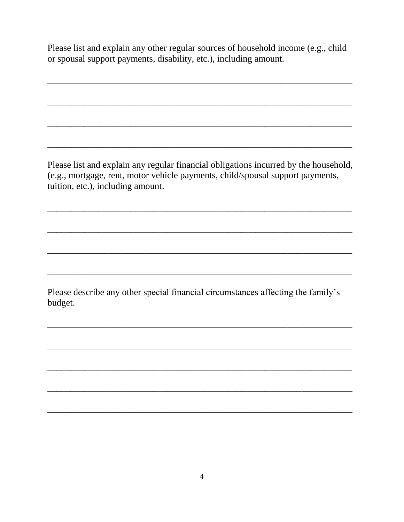Please list and explain any other regular sources of household income (e.g., child or spousal support payments, disability, etc.), including amount.

Please list and explain any regular financial obligations incurred by the household, (e.g., mortgage, rent, motor vehicle payments, child/spousal support payments, tuition, etc.), including amount.

Please describe any other special financial circumstances affecting the family's budget.